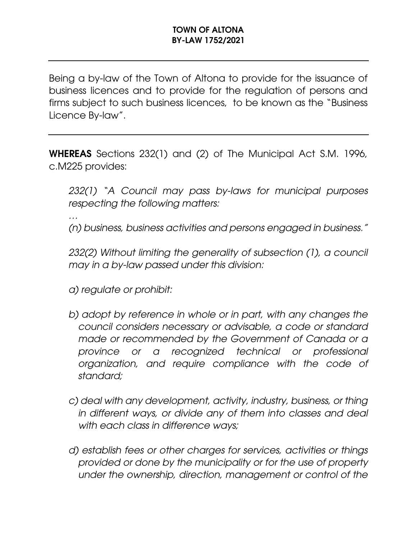Being a by-law of the Town of Altona to provide for the issuance of business licences and to provide for the regulation of persons and firms subject to such business licences, to be known as the "Business Licence By-law".

WHEREAS Sections 232(1) and (2) of The Municipal Act S.M. 1996, c.M225 provides:

*232(1) "A Council may pass by-laws for municipal purposes respecting the following matters:*

*…*

*(n) business, business activities and persons engaged in business."*

*232(2) Without limiting the generality of subsection (1), a council may in a by-law passed under this division:*

- *a) regulate or prohibit:*
- *b) adopt by reference in whole or in part, with any changes the council considers necessary or advisable, a code or standard made or recommended by the Government of Canada or a province or a recognized technical or professional organization, and require compliance with the code of standard;*
- *c) deal with any development, activity, industry, business, or thing in different ways, or divide any of them into classes and deal with each class in difference ways;*
- *d) establish fees or other charges for services, activities or things provided or done by the municipality or for the use of property under the ownership, direction, management or control of the*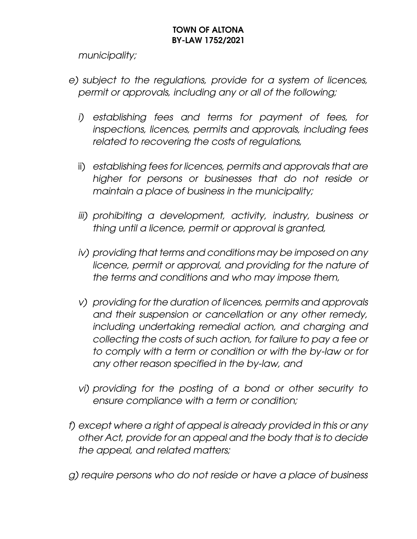*municipality;* 

- *e) subject to the regulations, provide for a system of licences, permit or approvals, including any or all of the following;*
	- *i) establishing fees and terms for payment of fees, for inspections, licences, permits and approvals, including fees related to recovering the costs of regulations,*
	- ii) *establishing fees for licences, permits and approvals that are higher for persons or businesses that do not reside or maintain a place of business in the municipality;*
	- *iii) prohibiting a development, activity, industry, business or thing until a licence, permit or approval is granted,*
	- *iv) providing that terms and conditions may be imposed on any*  licence, permit or approval, and providing for the nature of *the terms and conditions and who may impose them,*
	- *v) providing for the duration of licences, permits and approvals and their suspension or cancellation or any other remedy, including undertaking remedial action, and charging and collecting the costs of such action, for failure to pay a fee or to comply with a term or condition or with the by-law or for any other reason specified in the by-law, and*
	- *vi) providing for the posting of a bond or other security to ensure compliance with a term or condition;*
- *f) except where a right of appeal is already provided in this or any other Act, provide for an appeal and the body that is to decide the appeal, and related matters;*
- *g) require persons who do not reside or have a place of business*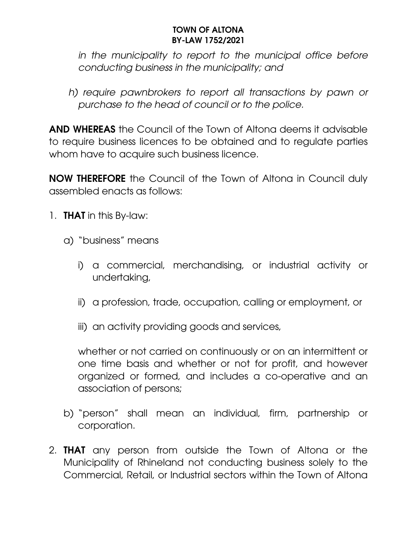*in the municipality to report to the municipal office before conducting business in the municipality; and*

*h) require pawnbrokers to report all transactions by pawn or purchase to the head of council or to the police.*

AND WHEREAS the Council of the Town of Altona deems it advisable to require business licences to be obtained and to regulate parties whom have to acquire such business licence.

NOW THEREFORE the Council of the Town of Altona in Council duly assembled enacts as follows:

- 1. **THAT** in this By-law:
	- a) "business" means
		- i) a commercial, merchandising, or industrial activity or undertaking,
		- ii) a profession, trade, occupation, calling or employment, or
		- iii) an activity providing goods and services,

whether or not carried on continuously or on an intermittent or one time basis and whether or not for profit, and however organized or formed, and includes a co-operative and an association of persons;

- b) "person" shall mean an individual, firm, partnership or corporation.
- 2. **THAT** any person from outside the Town of Altona or the Municipality of Rhineland not conducting business solely to the Commercial, Retail, or Industrial sectors within the Town of Altona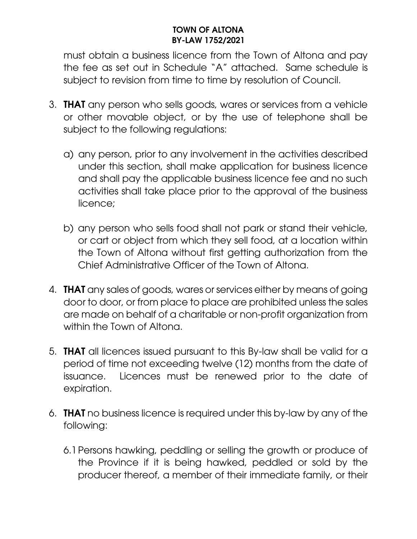must obtain a business licence from the Town of Altona and pay the fee as set out in Schedule "A" attached. Same schedule is subject to revision from time to time by resolution of Council.

- 3. THAT any person who sells goods, wares or services from a vehicle or other movable object, or by the use of telephone shall be subject to the following regulations:
	- a) any person, prior to any involvement in the activities described under this section, shall make application for business licence and shall pay the applicable business licence fee and no such activities shall take place prior to the approval of the business licence;
	- b) any person who sells food shall not park or stand their vehicle, or cart or object from which they sell food, at a location within the Town of Altona without first getting authorization from the Chief Administrative Officer of the Town of Altona.
- 4. **THAT** any sales of goods, wares or services either by means of going door to door, or from place to place are prohibited unless the sales are made on behalf of a charitable or non-profit organization from within the Town of Altona.
- 5. THAT all licences issued pursuant to this By-law shall be valid for a period of time not exceeding twelve (12) months from the date of issuance. Licences must be renewed prior to the date of expiration.
- 6. THAT no business licence is required under this by-law by any of the following:
	- 6.1Persons hawking, peddling or selling the growth or produce of the Province if it is being hawked, peddled or sold by the producer thereof, a member of their immediate family, or their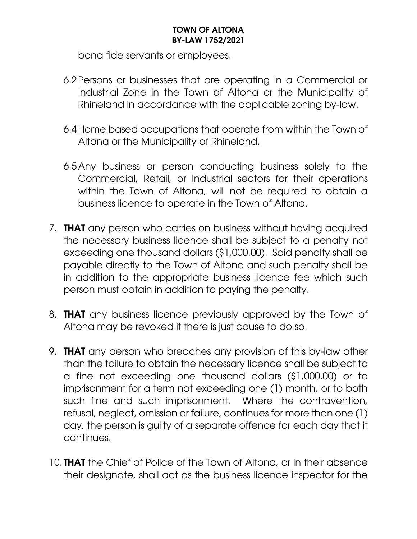bona fide servants or employees.

- 6.2Persons or businesses that are operating in a Commercial or Industrial Zone in the Town of Altona or the Municipality of Rhineland in accordance with the applicable zoning by-law.
- 6.4Home based occupations that operate from within the Town of Altona or the Municipality of Rhineland.
- 6.5Any business or person conducting business solely to the Commercial, Retail, or Industrial sectors for their operations within the Town of Altona, will not be required to obtain a business licence to operate in the Town of Altona.
- 7. THAT any person who carries on business without having acquired the necessary business licence shall be subject to a penalty not exceeding one thousand dollars (\$1,000.00). Said penalty shall be payable directly to the Town of Altona and such penalty shall be in addition to the appropriate business licence fee which such person must obtain in addition to paying the penalty.
- 8. THAT any business licence previously approved by the Town of Altona may be revoked if there is just cause to do so.
- 9. THAT any person who breaches any provision of this by-law other than the failure to obtain the necessary licence shall be subject to a fine not exceeding one thousand dollars (\$1,000.00) or to imprisonment for a term not exceeding one (1) month, or to both such fine and such imprisonment. Where the contravention, refusal, neglect, omission or failure, continues for more than one (1) day, the person is guilty of a separate offence for each day that it continues.
- 10. **THAT** the Chief of Police of the Town of Altona, or in their absence their designate, shall act as the business licence inspector for the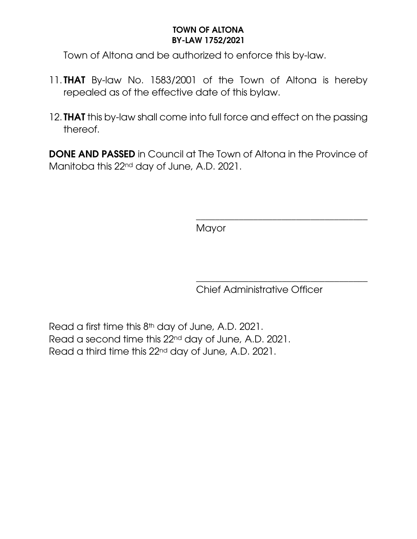Town of Altona and be authorized to enforce this by-law.

- 11. **THAT** By-law No. 1583/2001 of the Town of Altona is hereby repealed as of the effective date of this bylaw.
- 12. **THAT** this by-law shall come into full force and effect on the passing thereof.

DONE AND PASSED in Council at The Town of Altona in the Province of Manitoba this 22nd day of June, A.D. 2021.

**Mayor** 

\_\_\_\_\_\_\_\_\_\_\_\_\_\_\_\_\_\_\_\_\_\_\_\_\_\_\_\_\_\_\_\_\_\_\_\_ Chief Administrative Officer

\_\_\_\_\_\_\_\_\_\_\_\_\_\_\_\_\_\_\_\_\_\_\_\_\_\_\_\_\_\_\_\_\_\_\_\_

Read a first time this 8th day of June, A.D. 2021. Read a second time this 22nd day of June, A.D. 2021. Read a third time this 22nd day of June, A.D. 2021.